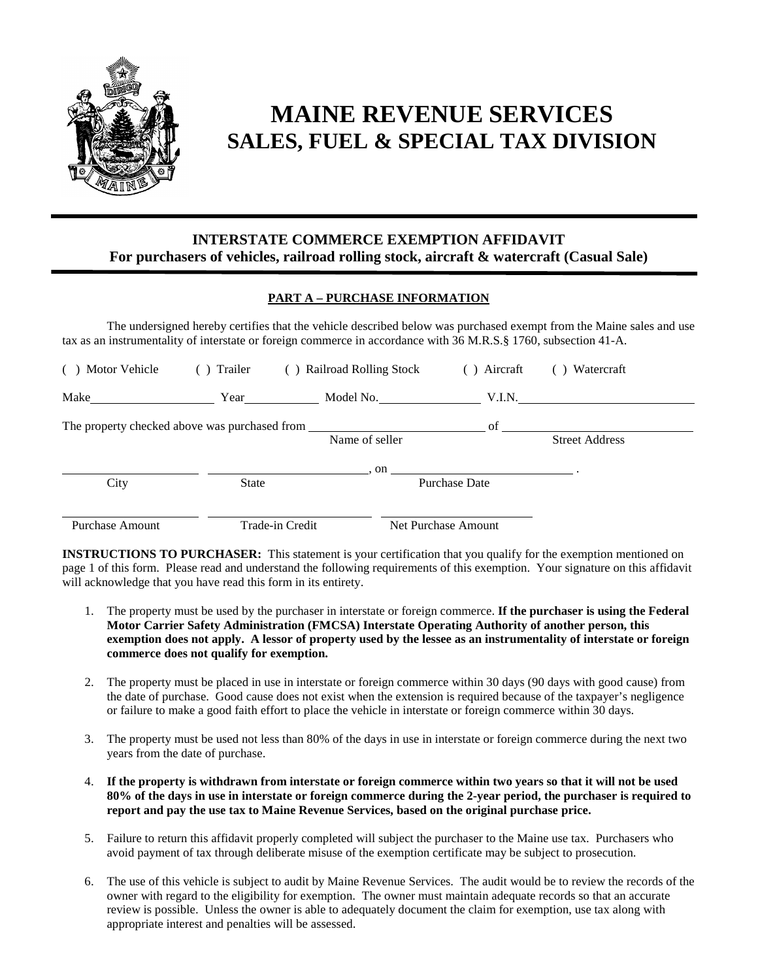

# **MAINE REVENUE SERVICES SALES, FUEL & SPECIAL TAX DIVISION**

### **INTERSTATE COMMERCE EXEMPTION AFFIDAVIT For purchasers of vehicles, railroad rolling stock, aircraft & watercraft (Casual Sale)**

#### **PART A – PURCHASE INFORMATION**

The undersigned hereby certifies that the vehicle described below was purchased exempt from the Maine sales and use tax as an instrumentality of interstate or foreign commerce in accordance with 36 M.R.S.§ 1760, subsection 41-A.

| Motor Vehicle<br>(                            | () Trailer   | Railroad Rolling Stock<br>( | $( )$ Aircraft       | Watercraft            |
|-----------------------------------------------|--------------|-----------------------------|----------------------|-----------------------|
| Make                                          | Year         | Model No.                   | V.I.N.               |                       |
| The property checked above was purchased from |              |                             | of                   |                       |
|                                               |              | Name of seller              |                      | <b>Street Address</b> |
|                                               |              | . on                        |                      |                       |
| City                                          | <b>State</b> |                             | <b>Purchase Date</b> |                       |
|                                               |              |                             |                      |                       |
| Purchase Amount                               |              | Trade-in Credit             | Net Purchase Amount  |                       |

**INSTRUCTIONS TO PURCHASER:** This statement is your certification that you qualify for the exemption mentioned on page 1 of this form. Please read and understand the following requirements of this exemption. Your signature on this affidavit will acknowledge that you have read this form in its entirety.

- 1. The property must be used by the purchaser in interstate or foreign commerce. **If the purchaser is using the Federal Motor Carrier Safety Administration (FMCSA) Interstate Operating Authority of another person, this exemption does not apply. A lessor of property used by the lessee as an instrumentality of interstate or foreign commerce does not qualify for exemption.**
- 2. The property must be placed in use in interstate or foreign commerce within 30 days (90 days with good cause) from the date of purchase. Good cause does not exist when the extension is required because of the taxpayer's negligence or failure to make a good faith effort to place the vehicle in interstate or foreign commerce within 30 days.
- 3. The property must be used not less than 80% of the days in use in interstate or foreign commerce during the next two years from the date of purchase.
- 4. **If the property is withdrawn from interstate or foreign commerce within two years so that it will not be used 80% of the days in use in interstate or foreign commerce during the 2-year period, the purchaser is required to report and pay the use tax to Maine Revenue Services, based on the original purchase price.**
- 5. Failure to return this affidavit properly completed will subject the purchaser to the Maine use tax. Purchasers who avoid payment of tax through deliberate misuse of the exemption certificate may be subject to prosecution.
- 6. The use of this vehicle is subject to audit by Maine Revenue Services. The audit would be to review the records of the owner with regard to the eligibility for exemption. The owner must maintain adequate records so that an accurate review is possible. Unless the owner is able to adequately document the claim for exemption, use tax along with appropriate interest and penalties will be assessed.